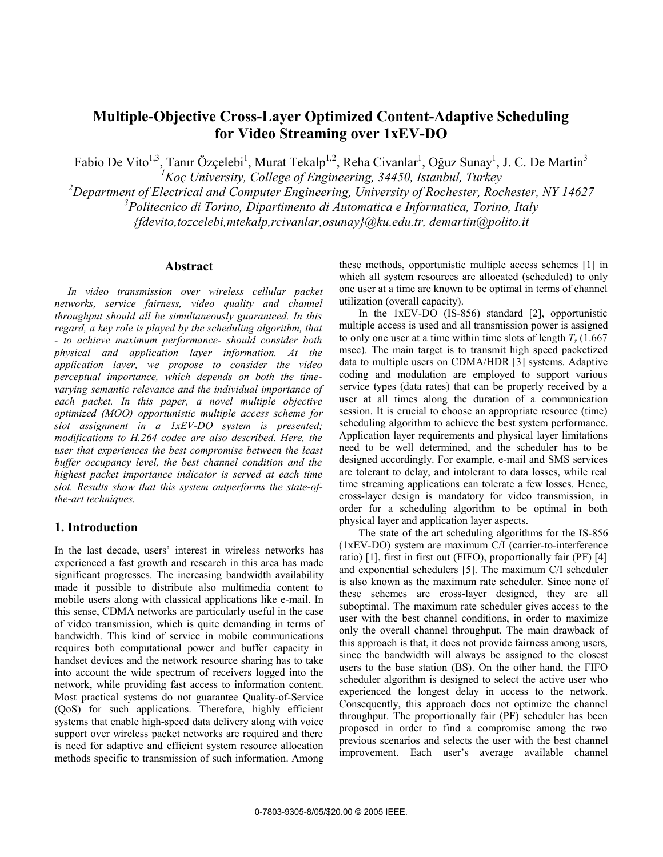# **Multiple-Objective Cross-Layer Optimized Content-Adaptive Scheduling for Video Streaming over 1xEV-DO**

Fabio De Vito<sup>1,3</sup>, Tanır Özçelebi<sup>1</sup>, Murat Tekalp<sup>1,2</sup>, Reha Civanlar<sup>1</sup>, Oğuz Sunay<sup>1</sup>, J. C. De Martin<sup>3</sup>

*<sup>1</sup>Koç University, College of Engineering, 34450, Istanbul, Turkey* 

*<sup>2</sup>Department of Electrical and Computer Engineering, University of Rochester, Rochester, NY 14627* 

*3 Politecnico di Torino, Dipartimento di Automatica e Informatica, Torino, Italy* 

*{fdevito,tozcelebi,mtekalp,rcivanlar,osunay}@ku.edu.tr, demartin@polito.it* 

#### **Abstract**

*In video transmission over wireless cellular packet networks, service fairness, video quality and channel throughput should all be simultaneously guaranteed. In this regard, a key role is played by the scheduling algorithm, that - to achieve maximum performance- should consider both physical and application layer information. At the application layer, we propose to consider the video perceptual importance, which depends on both the timevarying semantic relevance and the individual importance of each packet. In this paper, a novel multiple objective optimized (MOO) opportunistic multiple access scheme for slot assignment in a 1xEV-DO system is presented; modifications to H.264 codec are also described. Here, the user that experiences the best compromise between the least buffer occupancy level, the best channel condition and the highest packet importance indicator is served at each time slot. Results show that this system outperforms the state-ofthe-art techniques.* 

## **1. Introduction**

In the last decade, users' interest in wireless networks has experienced a fast growth and research in this area has made significant progresses. The increasing bandwidth availability made it possible to distribute also multimedia content to mobile users along with classical applications like e-mail. In this sense, CDMA networks are particularly useful in the case of video transmission, which is quite demanding in terms of bandwidth. This kind of service in mobile communications requires both computational power and buffer capacity in handset devices and the network resource sharing has to take into account the wide spectrum of receivers logged into the network, while providing fast access to information content. Most practical systems do not guarantee Quality-of-Service (QoS) for such applications. Therefore, highly efficient systems that enable high-speed data delivery along with voice support over wireless packet networks are required and there is need for adaptive and efficient system resource allocation methods specific to transmission of such information. Among these methods, opportunistic multiple access schemes [1] in which all system resources are allocated (scheduled) to only one user at a time are known to be optimal in terms of channel utilization (overall capacity).

In the 1xEV-DO (IS-856) standard [2], opportunistic multiple access is used and all transmission power is assigned to only one user at a time within time slots of length  $T_s$  (1.667) msec). The main target is to transmit high speed packetized data to multiple users on CDMA/HDR [3] systems. Adaptive coding and modulation are employed to support various service types (data rates) that can be properly received by a user at all times along the duration of a communication session. It is crucial to choose an appropriate resource (time) scheduling algorithm to achieve the best system performance. Application layer requirements and physical layer limitations need to be well determined, and the scheduler has to be designed accordingly. For example, e-mail and SMS services are tolerant to delay, and intolerant to data losses, while real time streaming applications can tolerate a few losses. Hence, cross-layer design is mandatory for video transmission, in order for a scheduling algorithm to be optimal in both physical layer and application layer aspects.

The state of the art scheduling algorithms for the IS-856 (1xEV-DO) system are maximum C/I (carrier-to-interference ratio) [1], first in first out (FIFO), proportionally fair (PF) [4] and exponential schedulers [5]. The maximum C/I scheduler is also known as the maximum rate scheduler. Since none of these schemes are cross-layer designed, they are all suboptimal. The maximum rate scheduler gives access to the user with the best channel conditions, in order to maximize only the overall channel throughput. The main drawback of this approach is that, it does not provide fairness among users, since the bandwidth will always be assigned to the closest users to the base station (BS). On the other hand, the FIFO scheduler algorithm is designed to select the active user who experienced the longest delay in access to the network. Consequently, this approach does not optimize the channel throughput. The proportionally fair (PF) scheduler has been proposed in order to find a compromise among the two previous scenarios and selects the user with the best channel improvement. Each user's average available channel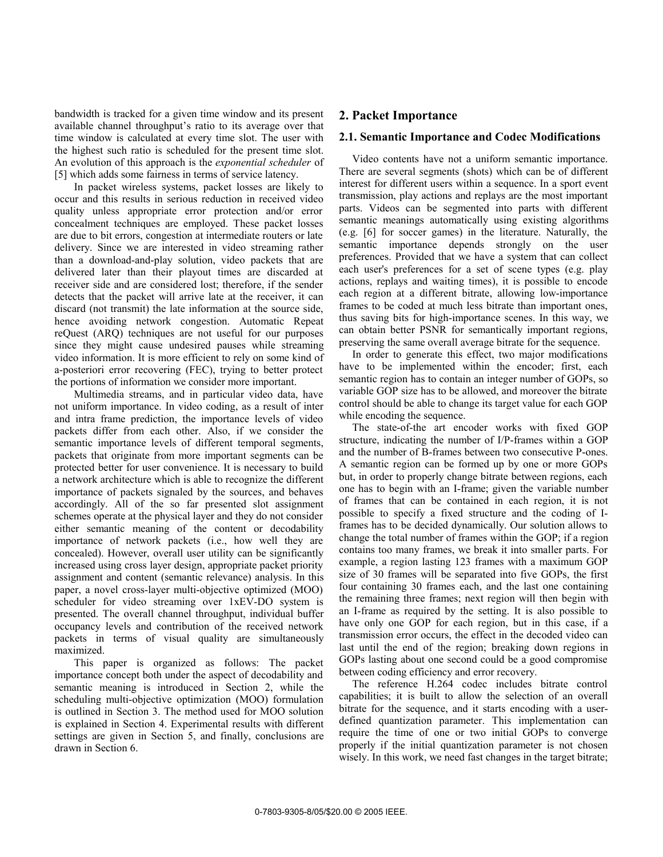bandwidth is tracked for a given time window and its present available channel throughput's ratio to its average over that time window is calculated at every time slot. The user with the highest such ratio is scheduled for the present time slot. An evolution of this approach is the *exponential scheduler* of [5] which adds some fairness in terms of service latency.

In packet wireless systems, packet losses are likely to occur and this results in serious reduction in received video quality unless appropriate error protection and/or error concealment techniques are employed. These packet losses are due to bit errors, congestion at intermediate routers or late delivery. Since we are interested in video streaming rather than a download-and-play solution, video packets that are delivered later than their playout times are discarded at receiver side and are considered lost; therefore, if the sender detects that the packet will arrive late at the receiver, it can discard (not transmit) the late information at the source side, hence avoiding network congestion. Automatic Repeat reQuest (ARQ) techniques are not useful for our purposes since they might cause undesired pauses while streaming video information. It is more efficient to rely on some kind of a-posteriori error recovering (FEC), trying to better protect the portions of information we consider more important.

Multimedia streams, and in particular video data, have not uniform importance. In video coding, as a result of inter and intra frame prediction, the importance levels of video packets differ from each other. Also, if we consider the semantic importance levels of different temporal segments, packets that originate from more important segments can be protected better for user convenience. It is necessary to build a network architecture which is able to recognize the different importance of packets signaled by the sources, and behaves accordingly. All of the so far presented slot assignment schemes operate at the physical layer and they do not consider either semantic meaning of the content or decodability importance of network packets (i.e., how well they are concealed). However, overall user utility can be significantly increased using cross layer design, appropriate packet priority assignment and content (semantic relevance) analysis. In this paper, a novel cross-layer multi-objective optimized (MOO) scheduler for video streaming over 1xEV-DO system is presented. The overall channel throughput, individual buffer occupancy levels and contribution of the received network packets in terms of visual quality are simultaneously maximized.

This paper is organized as follows: The packet importance concept both under the aspect of decodability and semantic meaning is introduced in Section 2, while the scheduling multi-objective optimization (MOO) formulation is outlined in Section 3. The method used for MOO solution is explained in Section 4. Experimental results with different settings are given in Section 5, and finally, conclusions are drawn in Section 6.

## **2. Packet Importance**

#### **2.1. Semantic Importance and Codec Modifications**

Video contents have not a uniform semantic importance. There are several segments (shots) which can be of different interest for different users within a sequence. In a sport event transmission, play actions and replays are the most important parts. Videos can be segmented into parts with different semantic meanings automatically using existing algorithms (e.g. [6] for soccer games) in the literature. Naturally, the semantic importance depends strongly on the user preferences. Provided that we have a system that can collect each user's preferences for a set of scene types (e.g. play actions, replays and waiting times), it is possible to encode each region at a different bitrate, allowing low-importance frames to be coded at much less bitrate than important ones, thus saving bits for high-importance scenes. In this way, we can obtain better PSNR for semantically important regions, preserving the same overall average bitrate for the sequence.

In order to generate this effect, two major modifications have to be implemented within the encoder; first, each semantic region has to contain an integer number of GOPs, so variable GOP size has to be allowed, and moreover the bitrate control should be able to change its target value for each GOP while encoding the sequence.

The state-of-the art encoder works with fixed GOP structure, indicating the number of I/P-frames within a GOP and the number of B-frames between two consecutive P-ones. A semantic region can be formed up by one or more GOPs but, in order to properly change bitrate between regions, each one has to begin with an I-frame; given the variable number of frames that can be contained in each region, it is not possible to specify a fixed structure and the coding of Iframes has to be decided dynamically. Our solution allows to change the total number of frames within the GOP; if a region contains too many frames, we break it into smaller parts. For example, a region lasting 123 frames with a maximum GOP size of 30 frames will be separated into five GOPs, the first four containing 30 frames each, and the last one containing the remaining three frames; next region will then begin with an I-frame as required by the setting. It is also possible to have only one GOP for each region, but in this case, if a transmission error occurs, the effect in the decoded video can last until the end of the region; breaking down regions in GOPs lasting about one second could be a good compromise between coding efficiency and error recovery.

The reference H.264 codec includes bitrate control capabilities; it is built to allow the selection of an overall bitrate for the sequence, and it starts encoding with a userdefined quantization parameter. This implementation can require the time of one or two initial GOPs to converge properly if the initial quantization parameter is not chosen wisely. In this work, we need fast changes in the target bitrate;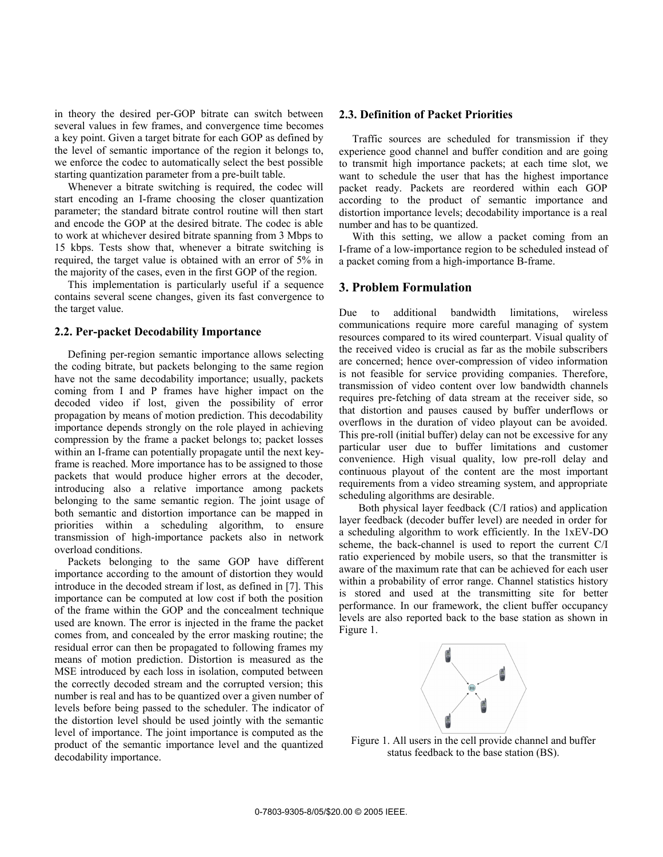in theory the desired per-GOP bitrate can switch between several values in few frames, and convergence time becomes a key point. Given a target bitrate for each GOP as defined by the level of semantic importance of the region it belongs to, we enforce the codec to automatically select the best possible starting quantization parameter from a pre-built table.

Whenever a bitrate switching is required, the codec will start encoding an I-frame choosing the closer quantization parameter; the standard bitrate control routine will then start and encode the GOP at the desired bitrate. The codec is able to work at whichever desired bitrate spanning from 3 Mbps to 15 kbps. Tests show that, whenever a bitrate switching is required, the target value is obtained with an error of 5% in the majority of the cases, even in the first GOP of the region.

This implementation is particularly useful if a sequence contains several scene changes, given its fast convergence to the target value.

#### **2.2. Per-packet Decodability Importance**

Defining per-region semantic importance allows selecting the coding bitrate, but packets belonging to the same region have not the same decodability importance; usually, packets coming from I and P frames have higher impact on the decoded video if lost, given the possibility of error propagation by means of motion prediction. This decodability importance depends strongly on the role played in achieving compression by the frame a packet belongs to; packet losses within an I-frame can potentially propagate until the next keyframe is reached. More importance has to be assigned to those packets that would produce higher errors at the decoder, introducing also a relative importance among packets belonging to the same semantic region. The joint usage of both semantic and distortion importance can be mapped in priorities within a scheduling algorithm, to ensure transmission of high-importance packets also in network overload conditions.

Packets belonging to the same GOP have different importance according to the amount of distortion they would introduce in the decoded stream if lost, as defined in [7]. This importance can be computed at low cost if both the position of the frame within the GOP and the concealment technique used are known. The error is injected in the frame the packet comes from, and concealed by the error masking routine; the residual error can then be propagated to following frames my means of motion prediction. Distortion is measured as the MSE introduced by each loss in isolation, computed between the correctly decoded stream and the corrupted version; this number is real and has to be quantized over a given number of levels before being passed to the scheduler. The indicator of the distortion level should be used jointly with the semantic level of importance. The joint importance is computed as the product of the semantic importance level and the quantized decodability importance.

#### **2.3. Definition of Packet Priorities**

Traffic sources are scheduled for transmission if they experience good channel and buffer condition and are going to transmit high importance packets; at each time slot, we want to schedule the user that has the highest importance packet ready. Packets are reordered within each GOP according to the product of semantic importance and distortion importance levels; decodability importance is a real number and has to be quantized.

With this setting, we allow a packet coming from an I-frame of a low-importance region to be scheduled instead of a packet coming from a high-importance B-frame.

#### **3. Problem Formulation**

Due to additional bandwidth limitations, wireless communications require more careful managing of system resources compared to its wired counterpart. Visual quality of the received video is crucial as far as the mobile subscribers are concerned; hence over-compression of video information is not feasible for service providing companies. Therefore, transmission of video content over low bandwidth channels requires pre-fetching of data stream at the receiver side, so that distortion and pauses caused by buffer underflows or overflows in the duration of video playout can be avoided. This pre-roll (initial buffer) delay can not be excessive for any particular user due to buffer limitations and customer convenience. High visual quality, low pre-roll delay and continuous playout of the content are the most important requirements from a video streaming system, and appropriate scheduling algorithms are desirable.

Both physical layer feedback (C/I ratios) and application layer feedback (decoder buffer level) are needed in order for a scheduling algorithm to work efficiently. In the 1xEV-DO scheme, the back-channel is used to report the current C/I ratio experienced by mobile users, so that the transmitter is aware of the maximum rate that can be achieved for each user within a probability of error range. Channel statistics history is stored and used at the transmitting site for better performance. In our framework, the client buffer occupancy levels are also reported back to the base station as shown in Figure 1.



Figure 1. All users in the cell provide channel and buffer status feedback to the base station (BS).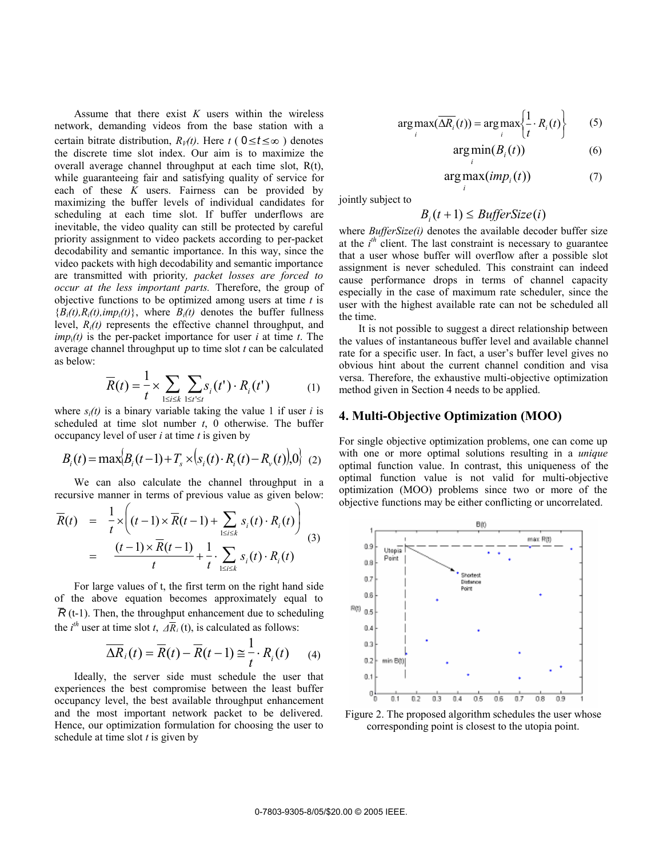Assume that there exist *K* users within the wireless network, demanding videos from the base station with a certain bitrate distribution,  $R_V(t)$ . Here  $t$  ( $0 \le t \le \infty$ ) denotes the discrete time slot index. Our aim is to maximize the overall average channel throughput at each time slot, R(t), while guaranteeing fair and satisfying quality of service for each of these *K* users. Fairness can be provided by maximizing the buffer levels of individual candidates for scheduling at each time slot. If buffer underflows are inevitable, the video quality can still be protected by careful priority assignment to video packets according to per-packet decodability and semantic importance. In this way, since the video packets with high decodability and semantic importance are transmitted with priority*, packet losses are forced to occur at the less important parts.* Therefore, the group of objective functions to be optimized among users at time *t* is  ${B_i(t), R_i(t), imp_i(t)}$ , where  $B_i(t)$  denotes the buffer fullness level, *Ri(t)* represents the effective channel throughput, and  $\lim_{i}$  *imp*<sub>i</sub> $(t)$  is the per-packet importance for user *i* at time *t*. The average channel throughput up to time slot *t* can be calculated as below:

$$
\overline{R}(t) = \frac{1}{t} \times \sum_{1 \le i \le k} \sum_{1 \le t' \le t} s_i(t') \cdot R_i(t')
$$
(1)

where  $s_i(t)$  is a binary variable taking the value 1 if user *i* is scheduled at time slot number *t*, 0 otherwise. The buffer occupancy level of user *i* at time *t* is given by

$$
B_i(t) = \max\{B_i(t-1) + T_s \times (s_i(t) \cdot R_i(t) - R_v(t)), 0\} \tag{2}
$$

We can also calculate the channel throughput in a recursive manner in terms of previous value as given below:

$$
\overline{R}(t) = \frac{1}{t} \times \left( (t-1) \times \overline{R}(t-1) + \sum_{1 \le i \le k} s_i(t) \cdot R_i(t) \right)
$$
  
= 
$$
\frac{(t-1) \times \overline{R}(t-1)}{t} + \frac{1}{t} \cdot \sum_{1 \le i \le k} s_i(t) \cdot R_i(t)
$$
 (3)

For large values of t, the first term on the right hand side of the above equation becomes approximately equal to  $\overline{R}$  (t-1). Then, the throughput enhancement due to scheduling the *i*<sup>th</sup> user at time slot *t*,  $\overline{AR}_i$  (t), is calculated as follows:

$$
\overline{\Delta R}_i(t) = \overline{R}(t) - \overline{R}(t-1) \cong \frac{1}{t} \cdot R_i(t) \qquad (4)
$$

Ideally, the server side must schedule the user that experiences the best compromise between the least buffer occupancy level, the best available throughput enhancement and the most important network packet to be delivered. Hence, our optimization formulation for choosing the user to schedule at time slot *t* is given by

$$
\arg \max_{i} (\overline{\Delta R_i}(t)) = \arg \max_{i} \left\{ \frac{1}{t} \cdot R_i(t) \right\} \tag{5}
$$

$$
\arg\min_{i} (B_i(t))
$$
 (6)

$$
\arg \max_i (imp_i(t)) \tag{7}
$$

jointly subject to

$$
B_i(t+1) \leq \mathit{BufferSize}(i)
$$

where *BufferSize(i)* denotes the available decoder buffer size at the  $i^h$  client. The last constraint is necessary to guarantee that a user whose buffer will overflow after a possible slot assignment is never scheduled. This constraint can indeed cause performance drops in terms of channel capacity especially in the case of maximum rate scheduler, since the user with the highest available rate can not be scheduled all the time.

It is not possible to suggest a direct relationship between the values of instantaneous buffer level and available channel rate for a specific user. In fact, a user's buffer level gives no obvious hint about the current channel condition and visa versa. Therefore, the exhaustive multi-objective optimization method given in Section 4 needs to be applied.

#### **4. Multi-Objective Optimization (MOO)**

For single objective optimization problems, one can come up with one or more optimal solutions resulting in a *unique* optimal function value. In contrast, this uniqueness of the optimal function value is not valid for multi-objective optimization (MOO) problems since two or more of the objective functions may be either conflicting or uncorrelated.



Figure 2. The proposed algorithm schedules the user whose corresponding point is closest to the utopia point.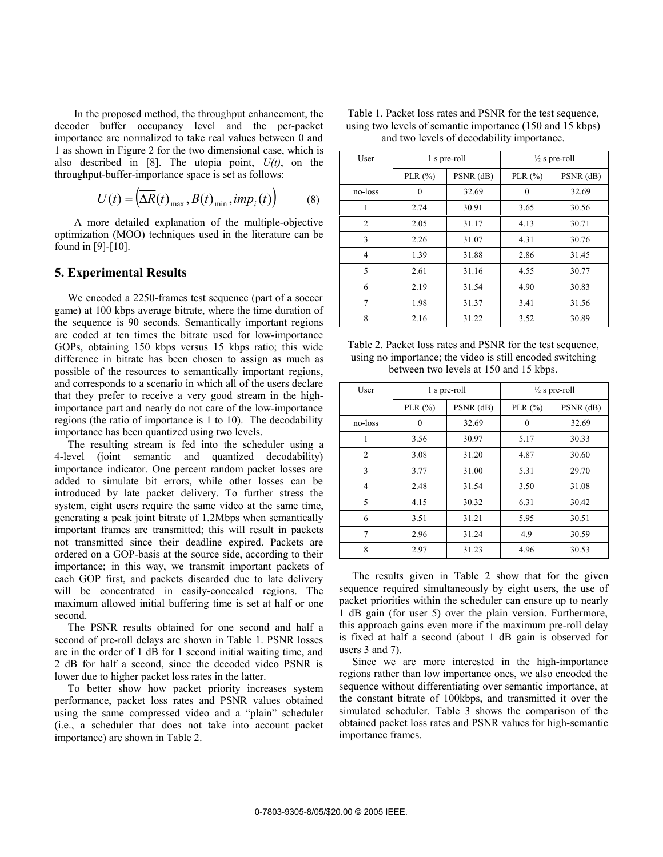In the proposed method, the throughput enhancement, the decoder buffer occupancy level and the per-packet importance are normalized to take real values between 0 and 1 as shown in Figure 2 for the two dimensional case, which is also described in [8]. The utopia point, *U(t)*, on the throughput-buffer-importance space is set as follows:

$$
U(t) = \left(\overline{\Delta R}(t)_{\text{max}}, B(t)_{\text{min}}, imp_i(t)\right) \tag{8}
$$

A more detailed explanation of the multiple-objective optimization (MOO) techniques used in the literature can be found in [9]-[10].

#### **5. Experimental Results**

We encoded a 2250-frames test sequence (part of a soccer game) at 100 kbps average bitrate, where the time duration of the sequence is 90 seconds. Semantically important regions are coded at ten times the bitrate used for low-importance GOPs, obtaining 150 kbps versus 15 kbps ratio; this wide difference in bitrate has been chosen to assign as much as possible of the resources to semantically important regions, and corresponds to a scenario in which all of the users declare that they prefer to receive a very good stream in the highimportance part and nearly do not care of the low-importance regions (the ratio of importance is 1 to 10). The decodability importance has been quantized using two levels.

The resulting stream is fed into the scheduler using a 4-level (joint semantic and quantized decodability) importance indicator. One percent random packet losses are added to simulate bit errors, while other losses can be introduced by late packet delivery. To further stress the system, eight users require the same video at the same time, generating a peak joint bitrate of 1.2Mbps when semantically important frames are transmitted; this will result in packets not transmitted since their deadline expired. Packets are ordered on a GOP-basis at the source side, according to their importance; in this way, we transmit important packets of each GOP first, and packets discarded due to late delivery will be concentrated in easily-concealed regions. The maximum allowed initial buffering time is set at half or one second.

The PSNR results obtained for one second and half a second of pre-roll delays are shown in Table 1. PSNR losses are in the order of 1 dB for 1 second initial waiting time, and 2 dB for half a second, since the decoded video PSNR is lower due to higher packet loss rates in the latter.

To better show how packet priority increases system performance, packet loss rates and PSNR values obtained using the same compressed video and a "plain" scheduler (i.e., a scheduler that does not take into account packet importance) are shown in Table 2.

| Table 1. Packet loss rates and PSNR for the test sequence, |
|------------------------------------------------------------|
| using two levels of semantic importance (150 and 15 kbps)  |
| and two levels of decodability importance.                 |

| User           | 1 s pre-roll |           | $\frac{1}{2}$ s pre-roll |           |
|----------------|--------------|-----------|--------------------------|-----------|
|                | PLR $(\% )$  | PSNR (dB) | PLR $(\% )$              | PSNR (dB) |
| no-loss        | $\theta$     | 32.69     | $\theta$                 | 32.69     |
| 1              | 2.74         | 30.91     | 3.65                     | 30.56     |
| $\overline{2}$ | 2.05         | 31.17     | 4.13                     | 30.71     |
| 3              | 2.26         | 31.07     | 4.31                     | 30.76     |
| 4              | 1.39         | 31.88     | 2.86                     | 31.45     |
| 5              | 2.61         | 31.16     | 4.55                     | 30.77     |
| 6              | 2.19         | 31.54     | 4.90                     | 30.83     |
| 7              | 1.98         | 31.37     | 3.41                     | 31.56     |
| 8              | 2.16         | 31.22     | 3.52                     | 30.89     |

Table 2. Packet loss rates and PSNR for the test sequence, using no importance; the video is still encoded switching between two levels at 150 and 15 kbps.

| User    | 1 s pre-roll |           | $\frac{1}{2}$ s pre-roll |           |
|---------|--------------|-----------|--------------------------|-----------|
|         | PLR $(\% )$  | PSNR (dB) | PLR $(\% )$              | PSNR (dB) |
| no-loss | 0            | 32.69     | 0                        | 32.69     |
| 1       | 3.56         | 30.97     | 5.17                     | 30.33     |
| 2       | 3.08         | 31.20     | 4.87                     | 30.60     |
| 3       | 3.77         | 31.00     | 5.31                     | 29.70     |
| 4       | 2.48         | 31.54     | 3.50                     | 31.08     |
| 5       | 4.15         | 30.32     | 6.31                     | 30.42     |
| 6       | 3.51         | 31.21     | 5.95                     | 30.51     |
| 7       | 2.96         | 31.24     | 4.9                      | 30.59     |
| 8       | 2.97         | 31.23     | 4.96                     | 30.53     |

The results given in Table 2 show that for the given sequence required simultaneously by eight users, the use of packet priorities within the scheduler can ensure up to nearly 1 dB gain (for user 5) over the plain version. Furthermore, this approach gains even more if the maximum pre-roll delay is fixed at half a second (about 1 dB gain is observed for users 3 and 7).

Since we are more interested in the high-importance regions rather than low importance ones, we also encoded the sequence without differentiating over semantic importance, at the constant bitrate of 100kbps, and transmitted it over the simulated scheduler. Table 3 shows the comparison of the obtained packet loss rates and PSNR values for high-semantic importance frames.